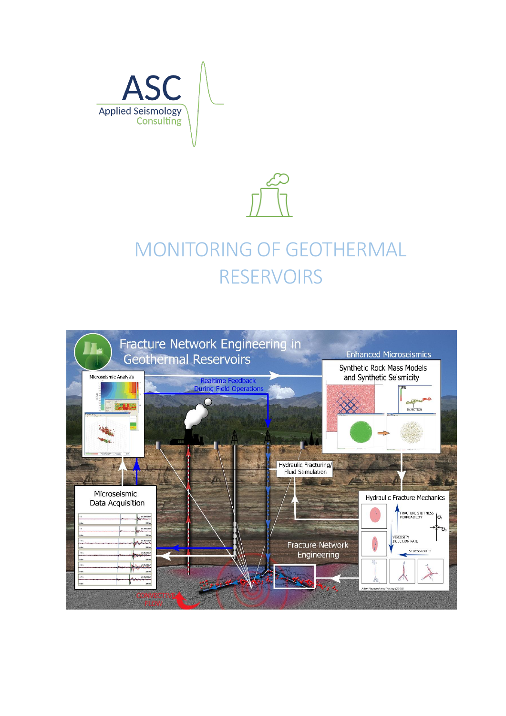



# MONITORING OF GEOTHERMAL RESERVOIRS

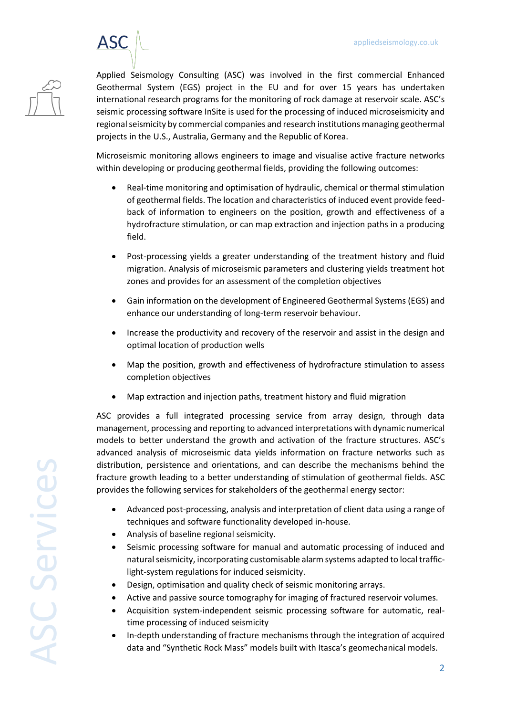# **ASC**



Applied Seismology Consulting (ASC) was involved in the first commercial Enhanced Geothermal System (EGS) project in the EU and for over 15 years has undertaken international research programs for the monitoring of rock damage at reservoir scale. ASC's seismic processing software InSite is used for the processing of induced microseismicity and regional seismicity by commercial companies and research institutions managing geothermal projects in the U.S., Australia, Germany and the Republic of Korea.

Microseismic monitoring allows engineers to image and visualise active fracture networks within developing or producing geothermal fields, providing the following outcomes:

- Real-time monitoring and optimisation of hydraulic, chemical or thermal stimulation of geothermal fields. The location and characteristics of induced event provide feedback of information to engineers on the position, growth and effectiveness of a hydrofracture stimulation, or can map extraction and injection paths in a producing field.
- Post-processing yields a greater understanding of the treatment history and fluid migration. Analysis of microseismic parameters and clustering yields treatment hot zones and provides for an assessment of the completion objectives
- Gain information on the development of Engineered Geothermal Systems (EGS) and enhance our understanding of long-term reservoir behaviour.
- Increase the productivity and recovery of the reservoir and assist in the design and optimal location of production wells
- Map the position, growth and effectiveness of hydrofracture stimulation to assess completion objectives
- Map extraction and injection paths, treatment history and fluid migration

ASC provides a full integrated processing service from array design, through data management, processing and reporting to advanced interpretations with dynamic numerical models to better understand the growth and activation of the fracture structures. ASC's advanced analysis of microseismic data yields information on fracture networks such as distribution, persistence and orientations, and can describe the mechanisms behind the fracture growth leading to a better understanding of stimulation of geothermal fields. ASC provides the following services for stakeholders of the geothermal energy sector:

- Advanced post-processing, analysis and interpretation of client data using a range of techniques and software functionality developed in-house.
- Analysis of baseline regional seismicity.
- Seismic processing software for manual and automatic processing of induced and natural seismicity, incorporating customisable alarm systems adapted to local trafficlight-system regulations for induced seismicity.
- Design, optimisation and quality check of seismic monitoring arrays.
- Active and passive source tomography for imaging of fractured reservoir volumes.
- Acquisition system-independent seismic processing software for automatic, realtime processing of induced seismicity
- In-depth understanding of fracture mechanisms through the integration of acquired data and "Synthetic Rock Mass" models built with Itasca's geomechanical models.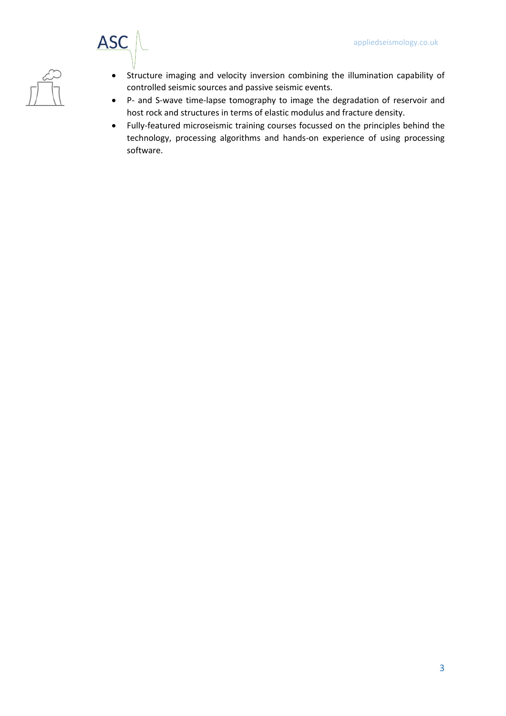

- Structure imaging and velocity inversion combining the illumination capability of controlled seismic sources and passive seismic events.
- P- and S-wave time-lapse tomography to image the degradation of reservoir and host rock and structures in terms of elastic modulus and fracture density.
- Fully-featured microseismic training courses focussed on the principles behind the technology, processing algorithms and hands-on experience of using processing software.

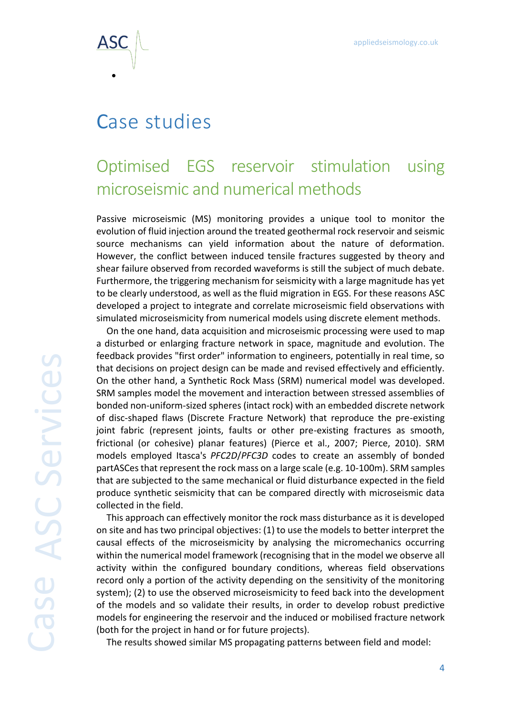•

# Case studies

### Optimised EGS reservoir stimulation using microseismic and numerical methods

Passive microseismic (MS) monitoring provides a unique tool to monitor the evolution of fluid injection around the treated geothermal rock reservoir and seismic source mechanisms can yield information about the nature of deformation. However, the conflict between induced tensile fractures suggested by theory and shear failure observed from recorded waveforms is still the subject of much debate. Furthermore, the triggering mechanism for seismicity with a large magnitude has yet to be clearly understood, as well as the fluid migration in EGS. For these reasons ASC developed a project to integrate and correlate microseismic field observations with simulated microseismicity from numerical models using discrete element methods.

On the one hand, data acquisition and microseismic processing were used to map a disturbed or enlarging fracture network in space, magnitude and evolution. The feedback provides "first order" information to engineers, potentially in real time, so that decisions on project design can be made and revised effectively and efficiently. On the other hand, a Synthetic Rock Mass (SRM) numerical model was developed. SRM samples model the movement and interaction between stressed assemblies of bonded non-uniform-sized spheres (intact rock) with an embedded discrete network of disc-shaped flaws (Discrete Fracture Network) that reproduce the pre-existing joint fabric (represent joints, faults or other pre-existing fractures as smooth, frictional (or cohesive) planar features) (Pierce et al., 2007; Pierce, 2010). SRM models employed Itasca's *PFC2D*/*PFC3D* codes to create an assembly of bonded partASCes that represent the rock mass on a large scale (e.g. 10-100m). SRM samples that are subjected to the same mechanical or fluid disturbance expected in the field produce synthetic seismicity that can be compared directly with microseismic data collected in the field.

This approach can effectively monitor the rock mass disturbance as it is developed on site and has two principal objectives: (1) to use the models to better interpret the causal effects of the microseismicity by analysing the micromechanics occurring within the numerical model framework (recognising that in the model we observe all activity within the configured boundary conditions, whereas field observations record only a portion of the activity depending on the sensitivity of the monitoring system); (2) to use the observed microseismicity to feed back into the development of the models and so validate their results, in order to develop robust predictive models for engineering the reservoir and the induced or mobilised fracture network (both for the project in hand or for future projects).

The results showed similar MS propagating patterns between field and model: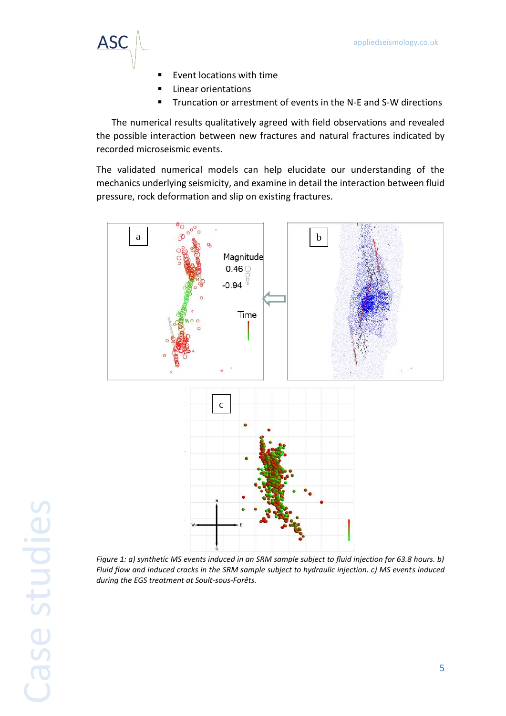

- Event locations with time
- Linear orientations
- Truncation or arrestment of events in the N-E and S-W directions

The numerical results qualitatively agreed with field observations and revealed the possible interaction between new fractures and natural fractures indicated by recorded microseismic events.

The validated numerical models can help elucidate our understanding of the mechanics underlying seismicity, and examine in detail the interaction between fluid pressure, rock deformation and slip on existing fractures.





*Figure 1: a) synthetic MS events induced in an SRM sample subject to fluid injection for 63.8 hours. b) Fluid flow and induced cracks in the SRM sample subject to hydraulic injection. c) MS events induced during the EGS treatment at Soult-sous-Forêts.*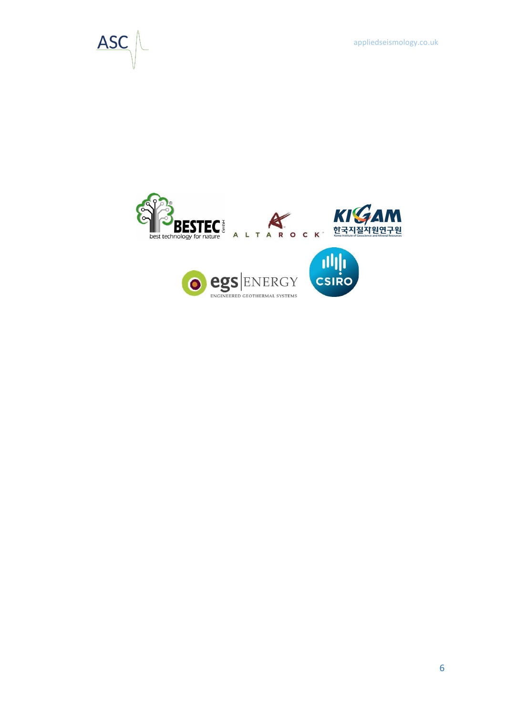

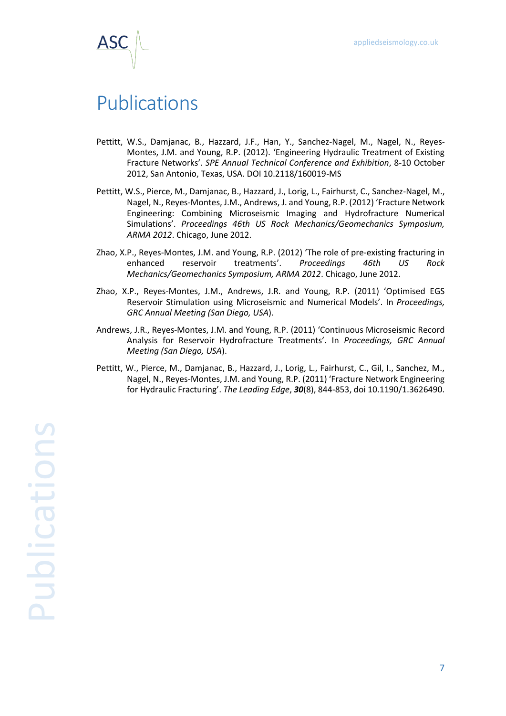

## Publications

- Pettitt, W.S., Damjanac, B., Hazzard, J.F., Han, Y., Sanchez-Nagel, M., Nagel, N., Reyes-Montes, J.M. and Young, R.P. (2012). 'Engineering Hydraulic Treatment of Existing Fracture Networks'*. SPE Annual Technical Conference and Exhibition*, 8-10 October 2012, San Antonio, Texas, USA. DOI 10.2118/160019-MS
- Pettitt, W.S., Pierce, M., Damjanac, B., Hazzard, J., Lorig, L., Fairhurst, C., Sanchez-Nagel, M., Nagel, N., Reyes-Montes, J.M., Andrews, J. and Young, R.P. (2012) 'Fracture Network Engineering: Combining Microseismic Imaging and Hydrofracture Numerical Simulations'. *Proceedings 46th US Rock Mechanics/Geomechanics Symposium, ARMA 2012*. Chicago, June 2012.
- Zhao, X.P., Reyes-Montes, J.M. and Young, R.P. (2012) 'The role of pre-existing fracturing in enhanced reservoir treatments'. *Proceedings 46th US Rock Mechanics/Geomechanics Symposium, ARMA 2012*. Chicago, June 2012.
- Zhao, X.P., Reyes-Montes, J.M., Andrews, J.R. and Young, R.P. (2011) 'Optimised EGS Reservoir Stimulation using Microseismic and Numerical Models'. In *Proceedings, GRC Annual Meeting (San Diego, USA*).
- Andrews, J.R., Reyes-Montes, J.M. and Young, R.P. (2011) 'Continuous Microseismic Record Analysis for Reservoir Hydrofracture Treatments'. In *Proceedings, GRC Annual Meeting (San Diego, USA*).
- Pettitt, W., Pierce, M., Damjanac, B., Hazzard, J., Lorig, L., Fairhurst, C., Gil, I., Sanchez, M., Nagel, N., Reyes-Montes, J.M. and Young, R.P. (2011) 'Fracture Network Engineering for Hydraulic Fracturing'. *The Leading Edge*, *30*(8), 844-853, doi 10.1190/1.3626490.

anolications Publications